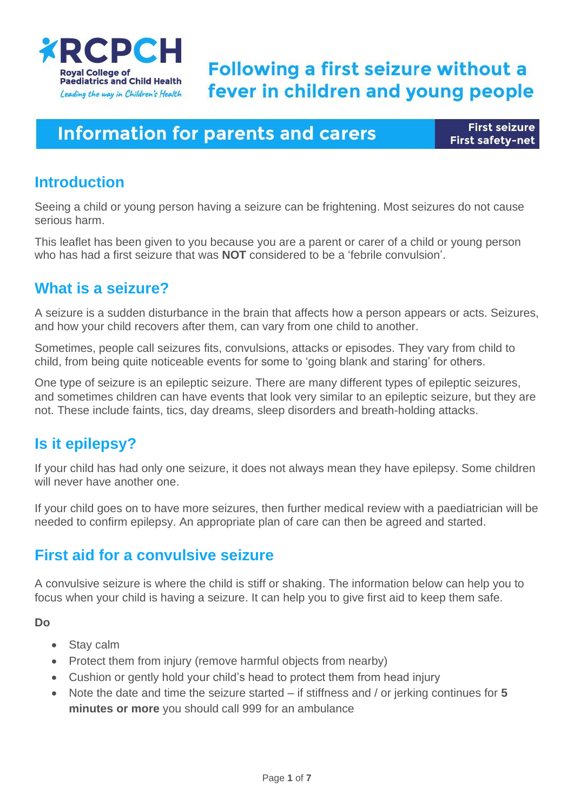

# **Following a first seizure without a** fever in children and young people

## **Information for parents and carers**

**First seizure First safety-net** 

### **Introduction**

Seeing a child or young person having a seizure can be frightening. Most seizures do not cause serious harm.

This leaflet has been given to you because you are a parent or carer of a child or young person who has had a first seizure that was **NOT** considered to be a 'febrile convulsion'.

## **What is a seizure?**

A seizure is a sudden disturbance in the brain that affects how a person appears or acts. Seizures, and how your child recovers after them, can vary from one child to another.

Sometimes, people call seizures fits, convulsions, attacks or episodes. They vary from child to child, from being quite noticeable events for some to 'going blank and staring' for others.

One type of seizure is an epileptic seizure. There are many different types of epileptic seizures, and sometimes children can have events that look very similar to an epileptic seizure, but they are not. These include faints, tics, day dreams, sleep disorders and breath-holding attacks.

## **Is it epilepsy?**

If your child has had only one seizure, it does not always mean they have epilepsy. Some children will never have another one.

If your child goes on to have more seizures, then further medical review with a paediatrician will be needed to confirm epilepsy. An appropriate plan of care can then be agreed and started.

### **First aid for a convulsive seizure**

A convulsive seizure is where the child is stiff or shaking. The information below can help you to focus when your child is having a seizure. It can help you to give first aid to keep them safe.

**Do**

- Stay calm
- Protect them from injury (remove harmful objects from nearby)
- Cushion or gently hold your child's head to protect them from head injury
- Note the date and time the seizure started if stiffness and / or jerking continues for **5 minutes or more** you should call 999 for an ambulance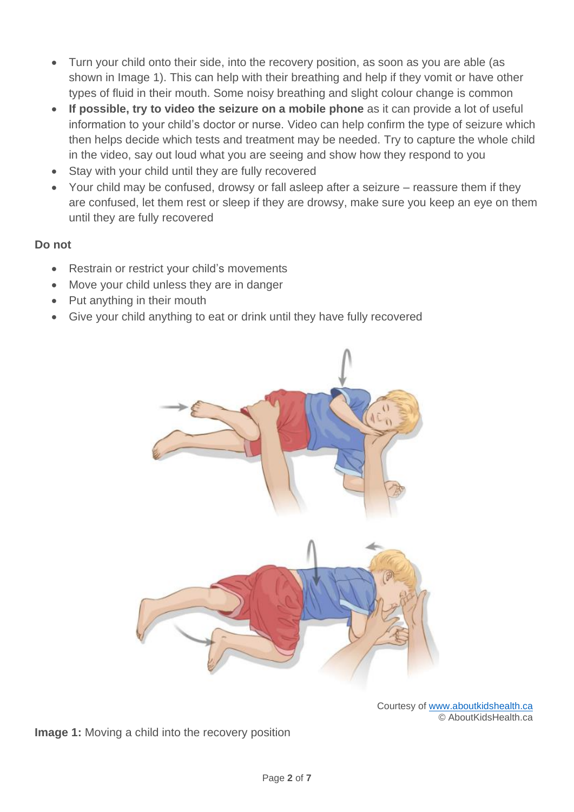- Turn your child onto their side, into the recovery position, as soon as you are able (as shown in Image 1). This can help with their breathing and help if they vomit or have other types of fluid in their mouth. Some noisy breathing and slight colour change is common
- **If possible, try to video the seizure on a mobile phone** as it can provide a lot of useful information to your child's doctor or nurse. Video can help confirm the type of seizure which then helps decide which tests and treatment may be needed. Try to capture the whole child in the video, say out loud what you are seeing and show how they respond to you
- Stay with your child until they are fully recovered
- Your child may be confused, drowsy or fall asleep after a seizure reassure them if they are confused, let them rest or sleep if they are drowsy, make sure you keep an eye on them until they are fully recovered

### **Do not**

- Restrain or restrict your child's movements
- Move your child unless they are in danger
- Put anything in their mouth
- Give your child anything to eat or drink until they have fully recovered



Courtesy of www.aboutkidshealth.ca © AboutKidsHealth.ca

**Image 1:** Moving a child into the recovery position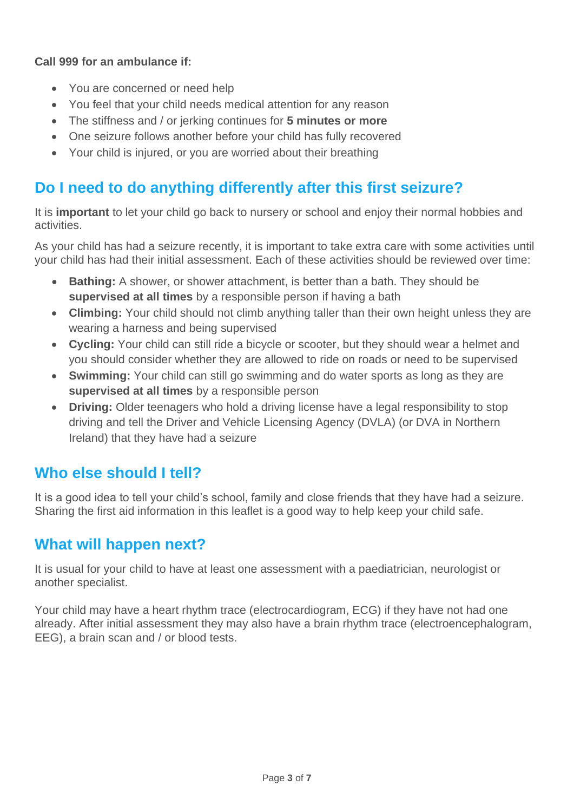#### **Call 999 for an ambulance if:**

- You are concerned or need help
- You feel that your child needs medical attention for any reason
- The stiffness and / or jerking continues for **5 minutes or more**
- One seizure follows another before your child has fully recovered
- Your child is injured, or you are worried about their breathing

## **Do I need to do anything differently after this first seizure?**

It is **important** to let your child go back to nursery or school and enjoy their normal hobbies and activities.

As your child has had a seizure recently, it is important to take extra care with some activities until your child has had their initial assessment. Each of these activities should be reviewed over time:

- **Bathing:** A shower, or shower attachment, is better than a bath. They should be **supervised at all times** by a responsible person if having a bath
- **Climbing:** Your child should not climb anything taller than their own height unless they are wearing a harness and being supervised
- **Cycling:** Your child can still ride a bicycle or scooter, but they should wear a helmet and you should consider whether they are allowed to ride on roads or need to be supervised
- **Swimming:** Your child can still go swimming and do water sports as long as they are **supervised at all times** by a responsible person
- **Driving:** Older teenagers who hold a driving license have a legal responsibility to stop driving and tell the Driver and Vehicle Licensing Agency (DVLA) (or DVA in Northern Ireland) that they have had a seizure

## **Who else should I tell?**

It is a good idea to tell your child's school, family and close friends that they have had a seizure. Sharing the first aid information in this leaflet is a good way to help keep your child safe.

### **What will happen next?**

It is usual for your child to have at least one assessment with a paediatrician, neurologist or another specialist.

Your child may have a heart rhythm trace (electrocardiogram, ECG) if they have not had one already. After initial assessment they may also have a brain rhythm trace (electroencephalogram, EEG), a brain scan and / or blood tests.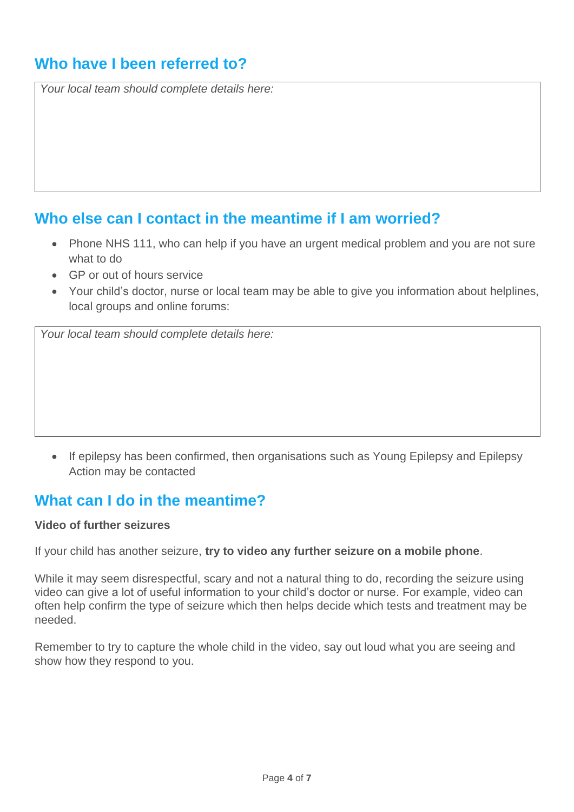## **Who have I been referred to?**

*Your local team should complete details here:*

### **Who else can I contact in the meantime if I am worried?**

- Phone NHS 111, who can help if you have an urgent medical problem and you are not sure what to do
- GP or out of hours service
- Your child's doctor, nurse or local team may be able to give you information about helplines, local groups and online forums:

*Your local team should complete details here:*

• If epilepsy has been confirmed, then organisations such as Young Epilepsy and Epilepsy Action may be contacted

### **What can I do in the meantime?**

#### **Video of further seizures**

If your child has another seizure, **try to video any further seizure on a mobile phone**.

While it may seem disrespectful, scary and not a natural thing to do, recording the seizure using video can give a lot of useful information to your child's doctor or nurse. For example, video can often help confirm the type of seizure which then helps decide which tests and treatment may be needed.

Remember to try to capture the whole child in the video, say out loud what you are seeing and show how they respond to you.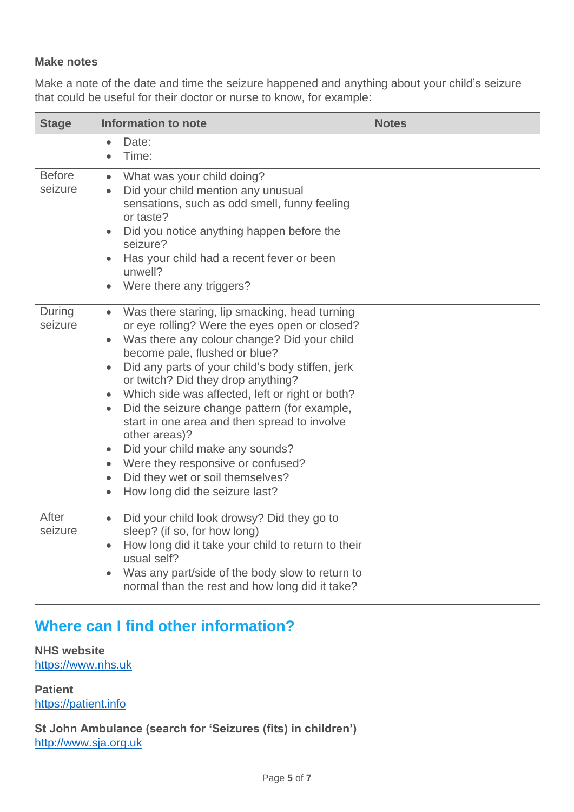#### **Make notes**

Make a note of the date and time the seizure happened and anything about your child's seizure that could be useful for their doctor or nurse to know, for example:

| <b>Stage</b>             | <b>Information to note</b>                                                                                                                                                                                                                                                                                                                                                                                                                                                                                                                                                                                                                                                            | <b>Notes</b> |
|--------------------------|---------------------------------------------------------------------------------------------------------------------------------------------------------------------------------------------------------------------------------------------------------------------------------------------------------------------------------------------------------------------------------------------------------------------------------------------------------------------------------------------------------------------------------------------------------------------------------------------------------------------------------------------------------------------------------------|--------------|
|                          | Date:<br>$\bullet$<br>Time:<br>$\bullet$                                                                                                                                                                                                                                                                                                                                                                                                                                                                                                                                                                                                                                              |              |
| <b>Before</b><br>seizure | What was your child doing?<br>$\bullet$<br>Did your child mention any unusual<br>$\bullet$<br>sensations, such as odd smell, funny feeling<br>or taste?<br>Did you notice anything happen before the<br>seizure?<br>Has your child had a recent fever or been<br>unwell?<br>Were there any triggers?                                                                                                                                                                                                                                                                                                                                                                                  |              |
| During<br>seizure        | Was there staring, lip smacking, head turning<br>$\bullet$<br>or eye rolling? Were the eyes open or closed?<br>Was there any colour change? Did your child<br>become pale, flushed or blue?<br>Did any parts of your child's body stiffen, jerk<br>$\bullet$<br>or twitch? Did they drop anything?<br>Which side was affected, left or right or both?<br>Did the seizure change pattern (for example,<br>$\bullet$<br>start in one area and then spread to involve<br>other areas)?<br>Did your child make any sounds?<br>$\bullet$<br>Were they responsive or confused?<br>$\bullet$<br>Did they wet or soil themselves?<br>$\bullet$<br>How long did the seizure last?<br>$\bullet$ |              |
| After<br>seizure         | Did your child look drowsy? Did they go to<br>$\bullet$<br>sleep? (if so, for how long)<br>How long did it take your child to return to their<br>$\bullet$<br>usual self?<br>Was any part/side of the body slow to return to<br>$\bullet$<br>normal than the rest and how long did it take?                                                                                                                                                                                                                                                                                                                                                                                           |              |

## **Where can I find other information?**

**NHS website** https://www.nhs.uk

**Patient** https://patient.info

**St John Ambulance (search for 'Seizures (fits) in children')** http://www.sja.org.uk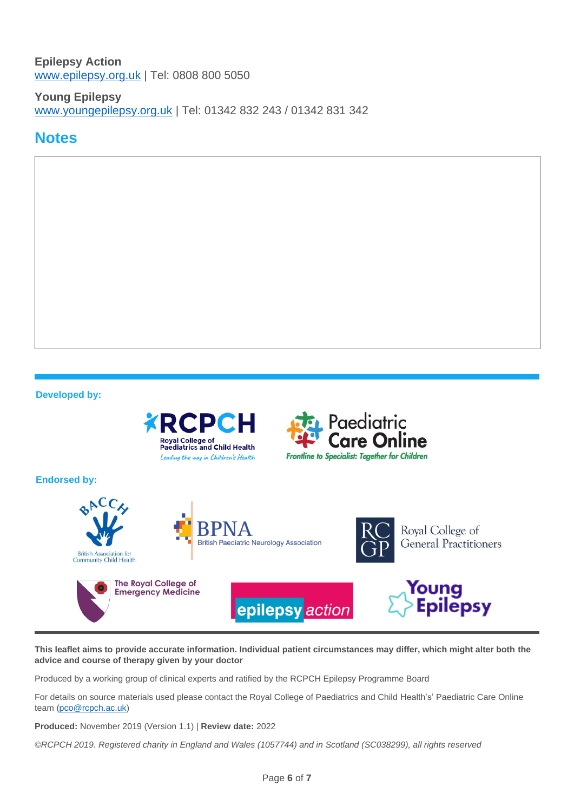#### **Epilepsy Action** www.epilepsy.org.uk | Tel: 0808 800 5050

**Young Epilepsy** www.youngepilepsy.org.uk | Tel: 01342 832 243 / 01342 831 342

### **Notes**



**This leaflet aims to provide accurate information. Individual patient circumstances may differ, which might alter both the advice and course of therapy given by your doctor**

Produced by a working group of clinical experts and ratified by the RCPCH Epilepsy Programme Board

For details on source materials used please contact the Royal College of Paediatrics and Child Health's' Paediatric Care Online team (pco@rcpch.ac.uk)

**Produced:** November 2019 (Version 1.1) | **Review date:** 2022

*©RCPCH 2019. Registered charity in England and Wales (1057744) and in Scotland (SC038299), all rights reserved*